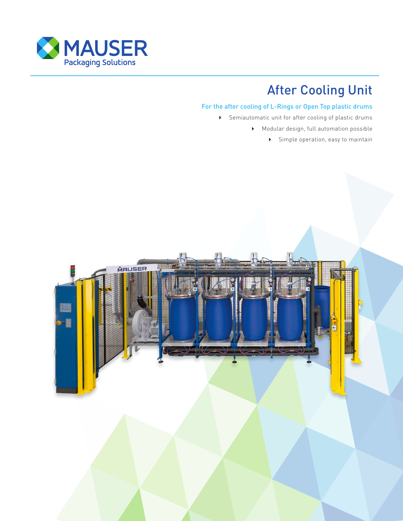

# After Cooling Unit

### For the after cooling of L-Rings or Open Top plastic drums

- Semiautomatic unit for after cooling of plastic drums
	- Modular design, full automation possible
		- Simple operation, easy to maintain